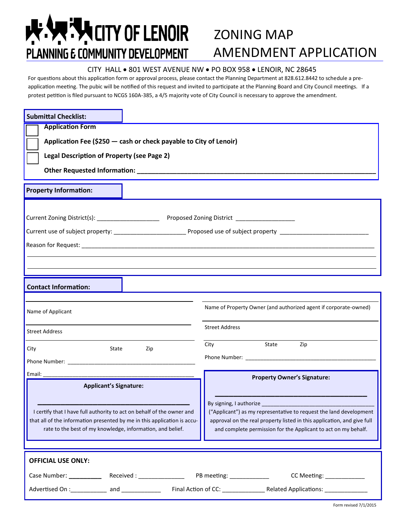# **HAPE THE THE MORE CONING MAP**

## PLANNING E COMMUNITY DEVELOPMENT AMENDMENT APPLICATION

#### CITY HALL . 801 WEST AVENUE NW . PO BOX 958 . LENOIR, NC 28645

For questions about this application form or approval process, please contact the Planning Department at 828.612.8442 to schedule a preapplication meeting. The pubic will be notified of this request and invited to participate at the Planning Board and City Council meetings. If a protest petition is filed pursuant to NCGS 160A-385, a 4/5 majority vote of City Council is necessary to approve the amendment.

| <b>Application Form</b><br>Application Fee (\$250 - cash or check payable to City of Lenoir)<br>Legal Description of Property (see Page 2)                                                                                                                                                                             |  |  |
|------------------------------------------------------------------------------------------------------------------------------------------------------------------------------------------------------------------------------------------------------------------------------------------------------------------------|--|--|
|                                                                                                                                                                                                                                                                                                                        |  |  |
| ,我们也不会有什么?""我们的人,我们也不会不会不会不会。""我们的人,我们也不会不会不会不会。""我们的人,我们也不会不会不会不会。""我们的人,我们也不会不                                                                                                                                                                                                                                       |  |  |
|                                                                                                                                                                                                                                                                                                                        |  |  |
| Name of Property Owner (and authorized agent if corporate-owned)<br><b>Street Address</b>                                                                                                                                                                                                                              |  |  |
| State<br>City<br>Zip                                                                                                                                                                                                                                                                                                   |  |  |
| <b>Property Owner's Signature:</b>                                                                                                                                                                                                                                                                                     |  |  |
| By signing, I authorize<br>("Applicant") as my representative to request the land development<br>that all of the information presented by me in this application is accu-<br>approval on the real property listed in this application, and give full<br>and complete permission for the Applicant to act on my behalf. |  |  |
| CC Meeting: _____________<br>Advertised On : 11 marries and 2000 and 2000 Final Action of CC: 2000 2000 Related Applications: 2000 2000 200                                                                                                                                                                            |  |  |
|                                                                                                                                                                                                                                                                                                                        |  |  |